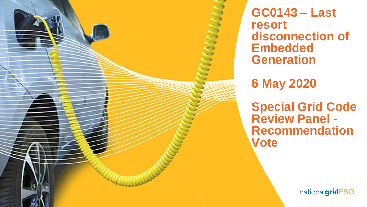

**GC0143 – Last resort disconnection of Embedded Generation**

**6 May 2020**

**Special Grid Code Review Panel - Recommendation Vote**

nationalgridESO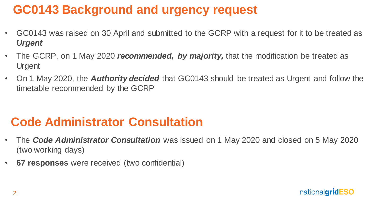# **GC0143 Background and urgency request**

- GC0143 was raised on 30 April and submitted to the GCRP with a request for it to be treated as *Urgent*
- The GCRP, on 1 May 2020 *recommended, by majority,* that the modification be treated as **Urgent**
- On 1 May 2020, the *Authority decided* that GC0143 should be treated as Urgent and follow the timetable recommended by the GCRP

### **Code Administrator Consultation**

- The *Code Administrator Consultation* was issued on 1 May 2020 and closed on 5 May 2020 (two working days)
- **67 responses** were received (two confidential)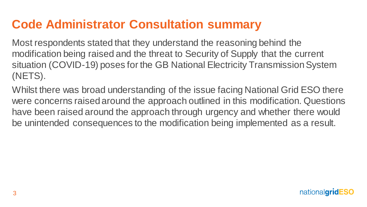### **Code Administrator Consultation summary**

Most respondents stated that they understand the reasoning behind the modification being raised and the threat to Security of Supply that the current situation (COVID-19) poses for the GB National Electricity Transmission System (NETS).

Whilst there was broad understanding of the issue facing National Grid ESO there were concerns raised around the approach outlined in this modification. Questions have been raised around the approach through urgency and whether there would be unintended consequences to the modification being implemented as a result.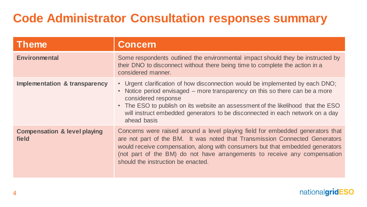### **Code Administrator Consultation responses summary**

| <b>Theme</b>                                     | <b>Concern</b>                                                                                                                                                                                                                                                                                                                                                           |
|--------------------------------------------------|--------------------------------------------------------------------------------------------------------------------------------------------------------------------------------------------------------------------------------------------------------------------------------------------------------------------------------------------------------------------------|
| <b>Environmental</b>                             | Some respondents outlined the environmental impact should they be instructed by<br>their DNO to disconnect without there being time to complete the action in a<br>considered manner.                                                                                                                                                                                    |
| Implementation & transparency                    | • Urgent clarification of how disconnection would be implemented by each DNO;<br>• Notice period envisaged – more transparency on this so there can be a more<br>considered response<br>• The ESO to publish on its website an assessment of the likelihood that the ESO<br>will instruct embedded generators to be disconnected in each network on a day<br>ahead basis |
| <b>Compensation &amp; level playing</b><br>field | Concerns were raised around a level playing field for embedded generators that<br>are not part of the BM. It was noted that Transmission Connected Generators<br>would receive compensation, along with consumers but that embedded generators<br>(not part of the BM) do not have arrangements to receive any compensation<br>should the instruction be enacted.        |

nationalgridESO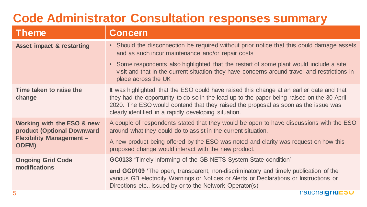### **Code Administrator Consultation responses summary**

| <b>Theme</b>                                                                                         | <b>Concern</b>                                                                                                                                                                                                                                                                                                                         |
|------------------------------------------------------------------------------------------------------|----------------------------------------------------------------------------------------------------------------------------------------------------------------------------------------------------------------------------------------------------------------------------------------------------------------------------------------|
| <b>Asset impact &amp; restarting</b>                                                                 | • Should the disconnection be required without prior notice that this could damage assets<br>and as such incur maintenance and/or repair costs                                                                                                                                                                                         |
|                                                                                                      | • Some respondents also highlighted that the restart of some plant would include a site<br>visit and that in the current situation they have concerns around travel and restrictions in<br>place across the UK                                                                                                                         |
| Time taken to raise the<br>change                                                                    | It was highlighted that the ESO could have raised this change at an earlier date and that<br>they had the opportunity to do so in the lead up to the paper being raised on the 30 April<br>2020. The ESO would contend that they raised the proposal as soon as the issue was<br>clearly identified in a rapidly developing situation. |
| Working with the ESO & new<br>product (Optional Downward<br><b>Flexibility Management -</b><br>ODFM) | A couple of respondents stated that they would be open to have discussions with the ESO<br>around what they could do to assist in the current situation.                                                                                                                                                                               |
|                                                                                                      | A new product being offered by the ESO was noted and clarity was request on how this<br>proposed change would interact with the new product.                                                                                                                                                                                           |
| <b>Ongoing Grid Code</b><br>modifications                                                            | <b>GC0133</b> 'Timely informing of the GB NETS System State condition'                                                                                                                                                                                                                                                                 |
|                                                                                                      | and GC0109 'The open, transparent, non-discriminatory and timely publication of the<br>various GB electricity Warnings or Notices or Alerts or Declarations or Instructions or<br>Directions etc., issued by or to the Network Operator(s)'                                                                                            |

**nationalgrideSU**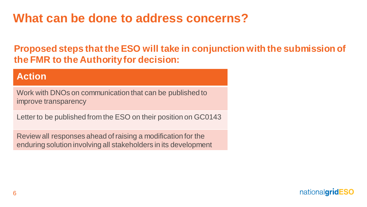### **What can be done to address concerns?**

### **Proposed steps that the ESO will take in conjunction with the submission of the FMR to the Authority for decision:**

#### **Action**

Work with DNOs on communication that can be published to improve transparency

Letter to be published from the ESO on their position on GC0143

Review all responses ahead of raising a modification for the enduring solution involving all stakeholders in its development

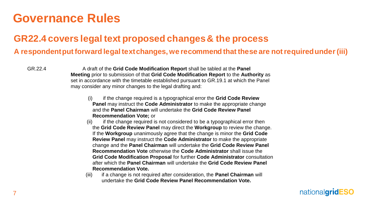### **Governance Rules**

### **GR22.4 covers legal text proposed changes & the process**

#### **A respondent put forward legal text changes, we recommend that these are not required under (iii)**

GR.22.4 A draft of the **Grid Code Modification Report** shall be tabled at the **Panel Meeting** prior to submission of that **Grid Code Modification Report** to the **Authority** as set in accordance with the timetable established pursuant to GR.19.1 at which the Panel may consider any minor changes to the legal drafting and:

- (i) if the change required is a typographical error the **Grid Code Review Panel** may instruct the **Code Administrator** to make the appropriate change and the **Panel Chairman** will undertake the **Grid Code Review Panel Recommendation Vote;** or
- (ii) if the change required is not considered to be a typographical error then the **Grid Code Review Panel** may direct the **Workgroup** to review the change. If the **Workgroup** unanimously agree that the change is minor the **Grid Code Review Panel** may instruct the **Code Administrator** to make the appropriate change and the **Panel Chairman** will undertake the **Grid Code Review Panel Recommendation Vote** otherwise the **Code Administrator** shall issue the **Grid Code Modification Proposal** for further **Code Administrator** consultation after which the **Panel Chairman** will undertake the **Grid Code Review Panel Recommendation Vote.**
- (iii) if a change is not required after consideration, the **Panel Chairman** will undertake the **Grid Code Review Panel Recommendation Vote.**